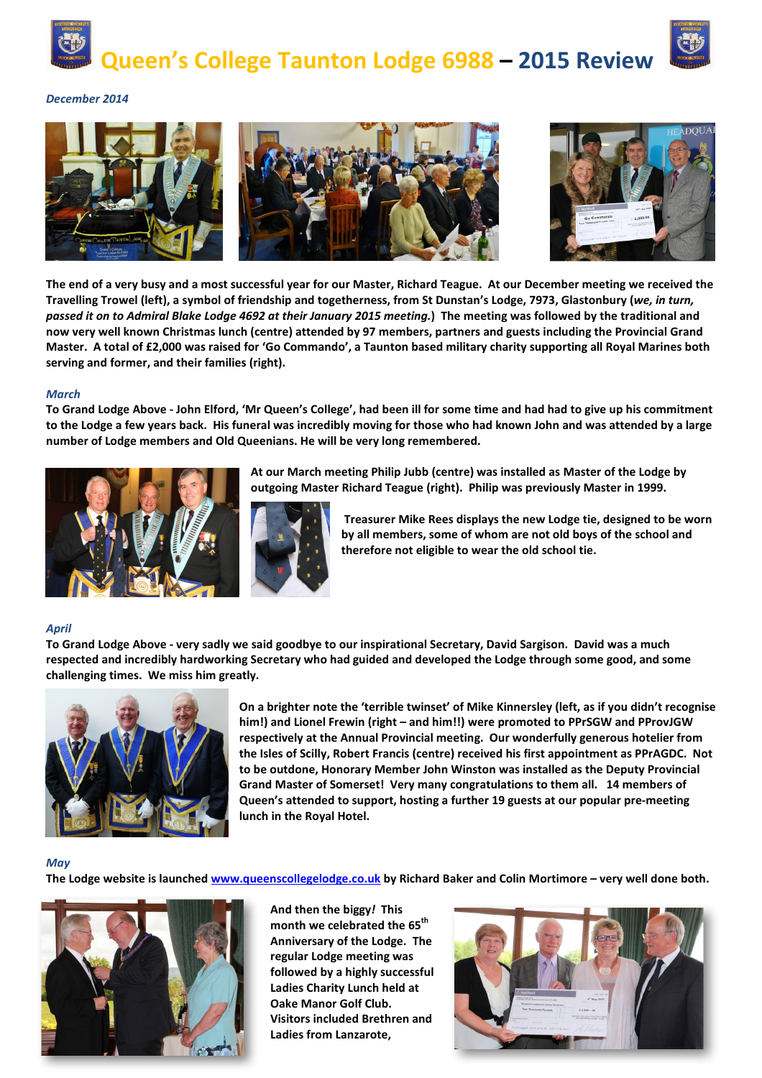



*December 2014* 



**The end of a very busy and a most successful year for our Master, Richard Teague. At our December meeting we received the Travelling Trowel (left), a symbol of friendship and togetherness, from St Dunstan's Lodge, 7973, Glastonbury (***we, in turn, passed it on to Admiral Blake Lodge 4692 at their January 2015 meeting.***) The meeting was followed by the traditional and now very well known Christmas lunch (centre) attended by 97 members, partners and guests including the Provincial Grand Master. A total of £2,000 was raised for 'Go Commando', a Taunton based military charity supporting all Royal Marines both serving and former, and their families (right).** 

## *March*

**To Grand Lodge Above - John Elford, 'Mr Queen's College', had been ill for some time and had had to give up his commitment to the Lodge a few years back. His funeral was incredibly moving for those who had known John and was attended by a large number of Lodge members and Old Queenians. He will be very long remembered.** 



**At our March meeting Philip Jubb (centre) was installed as Master of the Lodge by outgoing Master Richard Teague (right). Philip was previously Master in 1999.** 



 **Treasurer Mike Rees displays the new Lodge tie, designed to be worn by all members, some of whom are not old boys of the school and therefore not eligible to wear the old school tie.** 

## *April*

**To Grand Lodge Above - very sadly we said goodbye to our inspirational Secretary, David Sargison. David was a much respected and incredibly hardworking Secretary who had guided and developed the Lodge through some good, and some challenging times. We miss him greatly.** 



**On a brighter note the 'terrible twinset' of Mike Kinnersley (left, as if you didn't recognise him!) and Lionel Frewin (right – and him!!) were promoted to PPrSGW and PProvJGW respectively at the Annual Provincial meeting. Our wonderfully generous hotelier from the Isles of Scilly, Robert Francis (centre) received his first appointment as PPrAGDC. Not to be outdone, Honorary Member John Winston was installed as the Deputy Provincial Grand Master of Somerset! Very many congratulations to them all. 14 members of Queen's attended to support, hosting a further 19 guests at our popular pre-meeting lunch in the Royal Hotel.** 

## *May*

**The Lodge website is launched www.queenscollegelodge.co.uk by Richard Baker and Colin Mortimore – very well done both.** 



**And then the biggy***!* **This month we celebrated the 65th Anniversary of the Lodge. The regular Lodge meeting was followed by a highly successful Ladies Charity Lunch held at Oake Manor Golf Club. Visitors included Brethren and Ladies from Lanzarote,**